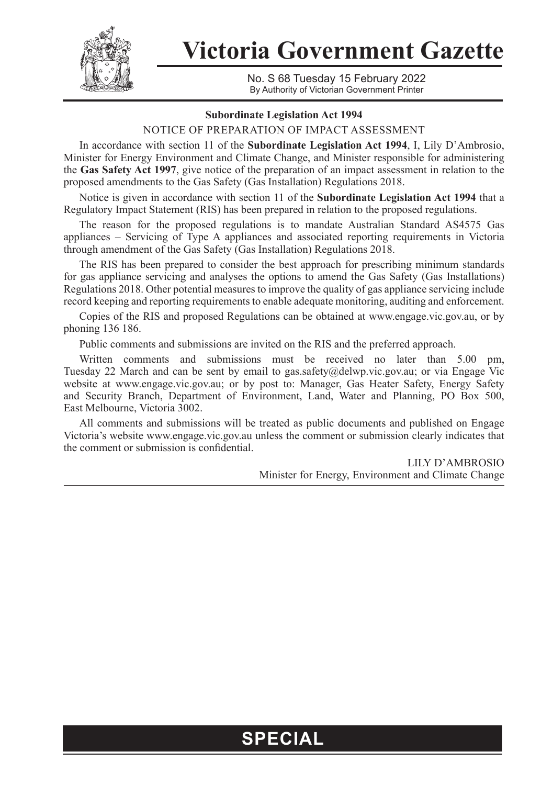

**Victoria Government Gazette**

No. S 68 Tuesday 15 February 2022 By Authority of Victorian Government Printer

## **Subordinate Legislation Act 1994**

NOTICE OF PREPARATION OF IMPACT ASSESSMENT

In accordance with section 11 of the **Subordinate Legislation Act 1994**, I, Lily D'Ambrosio, Minister for Energy Environment and Climate Change, and Minister responsible for administering the **Gas Safety Act 1997**, give notice of the preparation of an impact assessment in relation to the proposed amendments to the Gas Safety (Gas Installation) Regulations 2018.

Notice is given in accordance with section 11 of the **Subordinate Legislation Act 1994** that a Regulatory Impact Statement (RIS) has been prepared in relation to the proposed regulations.

The reason for the proposed regulations is to mandate Australian Standard AS4575 Gas appliances – Servicing of Type A appliances and associated reporting requirements in Victoria through amendment of the Gas Safety (Gas Installation) Regulations 2018.

The RIS has been prepared to consider the best approach for prescribing minimum standards for gas appliance servicing and analyses the options to amend the Gas Safety (Gas Installations) Regulations 2018. Other potential measures to improve the quality of gas appliance servicing include record keeping and reporting requirements to enable adequate monitoring, auditing and enforcement.

Copies of the RIS and proposed Regulations can be obtained at www.engage.vic.gov.au, or by phoning 136 186.

Public comments and submissions are invited on the RIS and the preferred approach.

Written comments and submissions must be received no later than 5.00 pm, Tuesday 22 March and can be sent by email to gas.safety@delwp.vic.gov.au; or via Engage Vic website at www.engage.vic.gov.au; or by post to: Manager, Gas Heater Safety, Energy Safety and Security Branch, Department of Environment, Land, Water and Planning, PO Box 500, East Melbourne, Victoria 3002.

All comments and submissions will be treated as public documents and published on Engage Victoria's website www.engage.vic.gov.au unless the comment or submission clearly indicates that the comment or submission is confidential.

> LILY D'AMBROSIO Minister for Energy, Environment and Climate Change

## **SPECIAL**